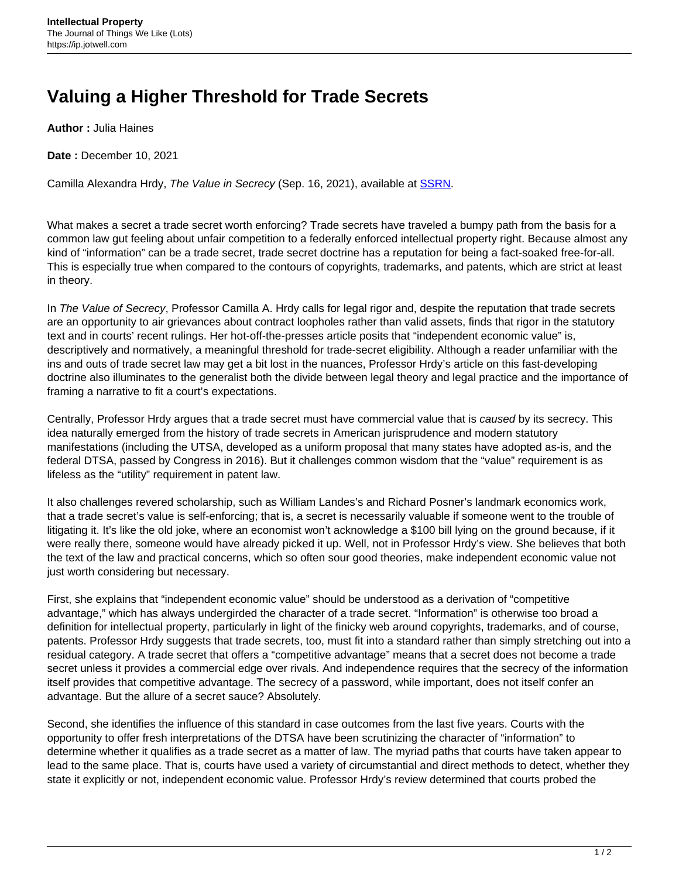## **Valuing a Higher Threshold for Trade Secrets**

**Author :** Julia Haines

**Date :** December 10, 2021

Camilla Alexandra Hrdy, The Value in Secrecy (Sep. 16, 2021), available at **SSRN**.

What makes a secret a trade secret worth enforcing? Trade secrets have traveled a bumpy path from the basis for a common law gut feeling about unfair competition to a federally enforced intellectual property right. Because almost any kind of "information" can be a trade secret, trade secret doctrine has a reputation for being a fact-soaked free-for-all. This is especially true when compared to the contours of copyrights, trademarks, and patents, which are strict at least in theory.

In The Value of Secrecy, Professor Camilla A. Hrdy calls for legal rigor and, despite the reputation that trade secrets are an opportunity to air grievances about contract loopholes rather than valid assets, finds that rigor in the statutory text and in courts' recent rulings. Her hot-off-the-presses article posits that "independent economic value" is, descriptively and normatively, a meaningful threshold for trade-secret eligibility. Although a reader unfamiliar with the ins and outs of trade secret law may get a bit lost in the nuances, Professor Hrdy's article on this fast-developing doctrine also illuminates to the generalist both the divide between legal theory and legal practice and the importance of framing a narrative to fit a court's expectations.

Centrally, Professor Hrdy argues that a trade secret must have commercial value that is caused by its secrecy. This idea naturally emerged from the history of trade secrets in American jurisprudence and modern statutory manifestations (including the UTSA, developed as a uniform proposal that many states have adopted as-is, and the federal DTSA, passed by Congress in 2016). But it challenges common wisdom that the "value" requirement is as lifeless as the "utility" requirement in patent law.

It also challenges revered scholarship, such as William Landes's and Richard Posner's landmark economics work, that a trade secret's value is self-enforcing; that is, a secret is necessarily valuable if someone went to the trouble of litigating it. It's like the old joke, where an economist won't acknowledge a \$100 bill lying on the ground because, if it were really there, someone would have already picked it up. Well, not in Professor Hrdy's view. She believes that both the text of the law and practical concerns, which so often sour good theories, make independent economic value not just worth considering but necessary.

First, she explains that "independent economic value" should be understood as a derivation of "competitive advantage," which has always undergirded the character of a trade secret. "Information" is otherwise too broad a definition for intellectual property, particularly in light of the finicky web around copyrights, trademarks, and of course, patents. Professor Hrdy suggests that trade secrets, too, must fit into a standard rather than simply stretching out into a residual category. A trade secret that offers a "competitive advantage" means that a secret does not become a trade secret unless it provides a commercial edge over rivals. And independence requires that the secrecy of the information itself provides that competitive advantage. The secrecy of a password, while important, does not itself confer an advantage. But the allure of a secret sauce? Absolutely.

Second, she identifies the influence of this standard in case outcomes from the last five years. Courts with the opportunity to offer fresh interpretations of the DTSA have been scrutinizing the character of "information" to determine whether it qualifies as a trade secret as a matter of law. The myriad paths that courts have taken appear to lead to the same place. That is, courts have used a variety of circumstantial and direct methods to detect, whether they state it explicitly or not, independent economic value. Professor Hrdy's review determined that courts probed the